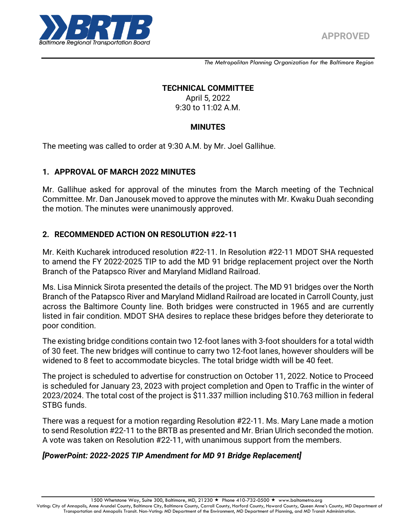

*The Metropolitan Planning Organization for the Baltimore Region*

#### **TECHNICAL COMMITTEE**

April 5, 2022 9:30 to 11:02 A.M.

#### **MINUTES**

The meeting was called to order at 9:30 A.M. by Mr. Joel Gallihue.

#### **1. APPROVAL OF MARCH 2022 MINUTES**

Mr. Gallihue asked for approval of the minutes from the March meeting of the Technical Committee. Mr. Dan Janousek moved to approve the minutes with Mr. Kwaku Duah seconding the motion. The minutes were unanimously approved.

#### **2. RECOMMENDED ACTION ON RESOLUTION #22-11**

Mr. Keith Kucharek introduced resolution #22-11. In Resolution #22-11 MDOT SHA requested to amend the FY 2022-2025 TIP to add the MD 91 bridge replacement project over the North Branch of the Patapsco River and Maryland Midland Railroad.

Ms. Lisa Minnick Sirota presented the details of the project. The MD 91 bridges over the North Branch of the Patapsco River and Maryland Midland Railroad are located in Carroll County, just across the Baltimore County line. Both bridges were constructed in 1965 and are currently listed in fair condition. MDOT SHA desires to replace these bridges before they deteriorate to poor condition.

The existing bridge conditions contain two 12-foot lanes with 3-foot shoulders for a total width of 30 feet. The new bridges will continue to carry two 12-foot lanes, however shoulders will be widened to 8 feet to accommodate bicycles. The total bridge width will be 40 feet.

The project is scheduled to advertise for construction on October 11, 2022. Notice to Proceed is scheduled for January 23, 2023 with project completion and Open to Traffic in the winter of 2023/2024. The total cost of the project is \$11.337 million including \$10.763 million in federal STBG funds.

There was a request for a motion regarding Resolution #22-11. Ms. Mary Lane made a motion to send Resolution #22-11 to the BRTB as presented and Mr. Brian Ulrich seconded the motion. A vote was taken on Resolution #22-11, with unanimous support from the members.

#### *[PowerPoint: 2022-2025 TIP Amendment for MD 91 Bridge Replacement]*

1500 Whetstone Way, Suite 300, Baltimore, MD, 21230 ★ Phone 410-732-0500 ★ www.baltometro.org

Voting: City of Annapolis, Anne Arundel County, Baltimore City, Baltimore County, Carroll County, Harford County, Howard County, Queen Anne's County, MD Department of Transportation and Annapolis Transit. Non-Voting: MD Department of the Environment, MD Department of Planning, and MD Transit Administration.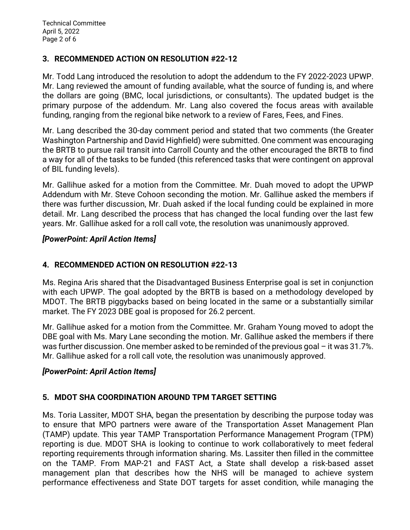# **3. RECOMMENDED ACTION ON RESOLUTION #22-12**

Mr. Todd Lang introduced the resolution to adopt the addendum to the FY 2022-2023 UPWP. Mr. Lang reviewed the amount of funding available, what the source of funding is, and where the dollars are going (BMC, local jurisdictions, or consultants). The updated budget is the primary purpose of the addendum. Mr. Lang also covered the focus areas with available funding, ranging from the regional bike network to a review of Fares, Fees, and Fines.

Mr. Lang described the 30-day comment period and stated that two comments (the Greater Washington Partnership and David Highfield) were submitted. One comment was encouraging the BRTB to pursue rail transit into Carroll County and the other encouraged the BRTB to find a way for all of the tasks to be funded (this referenced tasks that were contingent on approval of BIL funding levels).

Mr. Gallihue asked for a motion from the Committee. Mr. Duah moved to adopt the UPWP Addendum with Mr. Steve Cohoon seconding the motion. Mr. Gallihue asked the members if there was further discussion, Mr. Duah asked if the local funding could be explained in more detail. Mr. Lang described the process that has changed the local funding over the last few years. Mr. Gallihue asked for a roll call vote, the resolution was unanimously approved.

## *[PowerPoint: April Action Items]*

# **4. RECOMMENDED ACTION ON RESOLUTION #22-13**

Ms. Regina Aris shared that the Disadvantaged Business Enterprise goal is set in conjunction with each UPWP. The goal adopted by the BRTB is based on a methodology developed by MDOT. The BRTB piggybacks based on being located in the same or a substantially similar market. The FY 2023 DBE goal is proposed for 26.2 percent.

Mr. Gallihue asked for a motion from the Committee. Mr. Graham Young moved to adopt the DBE goal with Ms. Mary Lane seconding the motion. Mr. Gallihue asked the members if there was further discussion. One member asked to be reminded of the previous goal – it was 31.7%. Mr. Gallihue asked for a roll call vote, the resolution was unanimously approved.

# *[PowerPoint: April Action Items]*

# **5. MDOT SHA COORDINATION AROUND TPM TARGET SETTING**

Ms. Toria Lassiter, MDOT SHA, began the presentation by describing the purpose today was to ensure that MPO partners were aware of the Transportation Asset Management Plan (TAMP) update. This year TAMP Transportation Performance Management Program (TPM) reporting is due. MDOT SHA is looking to continue to work collaboratively to meet federal reporting requirements through information sharing. Ms. Lassiter then filled in the committee on the TAMP. From MAP-21 and FAST Act, a State shall develop a risk-based asset management plan that describes how the NHS will be managed to achieve system performance effectiveness and State DOT targets for asset condition, while managing the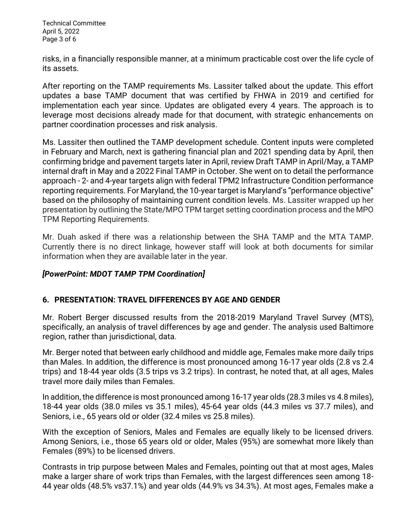Technical Committee April 5, 2022 Page 3 of 6

risks, in a financially responsible manner, at a minimum practicable cost over the life cycle of its assets.

After reporting on the TAMP requirements Ms. Lassiter talked about the update. This effort updates a base TAMP document that was certified by FHWA in 2019 and certified for implementation each year since. Updates are obligated every 4 years. The approach is to leverage most decisions already made for that document, with strategic enhancements on partner coordination processes and risk analysis.

Ms. Lassiter then outlined the TAMP development schedule. Content inputs were completed in February and March, next is gathering financial plan and 2021 spending data by April, then confirming bridge and pavement targets later in April, review Draft TAMP in April/May, a TAMP internal draft in May and a 2022 Final TAMP in October. She went on to detail the performance approach - 2- and 4-year targets align with federal TPM2 Infrastructure Condition performance reporting requirements. For Maryland, the 10-year target is Maryland's "performance objective" based on the philosophy of maintaining current condition levels. Ms. Lassiter wrapped up her presentation by outlining the State/MPO TPM target setting coordination process and the MPO TPM Reporting Requirements.

Mr. Duah asked if there was a relationship between the SHA TAMP and the MTA TAMP. Currently there is no direct linkage, however staff will look at both documents for similar information when they are available later in the year.

## *[PowerPoint: MDOT TAMP TPM Coordination]*

## **6. PRESENTATION: TRAVEL DIFFERENCES BY AGE AND GENDER**

Mr. Robert Berger discussed results from the 2018-2019 Maryland Travel Survey (MTS), specifically, an analysis of travel differences by age and gender. The analysis used Baltimore region, rather than jurisdictional, data.

Mr. Berger noted that between early childhood and middle age, Females make more daily trips than Males. In addition, the difference is most pronounced among 16-17 year olds (2.8 vs 2.4 trips) and 18-44 year olds (3.5 trips vs 3.2 trips). In contrast, he noted that, at all ages, Males travel more daily miles than Females.

In addition, the difference is most pronounced among 16-17 year olds (28.3 miles vs 4.8 miles), 18-44 year olds (38.0 miles vs 35.1 miles), 45-64 year olds (44.3 miles vs 37.7 miles), and Seniors, i.e., 65 years old or older (32.4 miles vs 25.8 miles).

With the exception of Seniors, Males and Females are equally likely to be licensed drivers. Among Seniors, i.e., those 65 years old or older, Males (95%) are somewhat more likely than Females (89%) to be licensed drivers.

Contrasts in trip purpose between Males and Females, pointing out that at most ages, Males make a larger share of work trips than Females, with the largest differences seen among 18- 44 year olds (48.5% vs37.1%) and year olds (44.9% vs 34.3%). At most ages, Females make a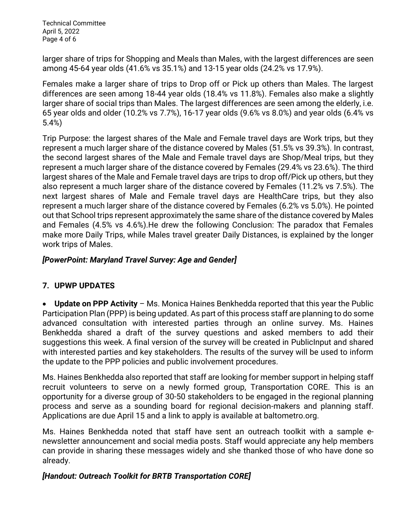Technical Committee April 5, 2022 Page 4 of 6

larger share of trips for Shopping and Meals than Males, with the largest differences are seen among 45-64 year olds (41.6% vs 35.1%) and 13-15 year olds (24.2% vs 17.9%).

Females make a larger share of trips to Drop off or Pick up others than Males. The largest differences are seen among 18-44 year olds (18.4% vs 11.8%). Females also make a slightly larger share of social trips than Males. The largest differences are seen among the elderly, i.e. 65 year olds and older (10.2% vs 7.7%), 16-17 year olds (9.6% vs 8.0%) and year olds (6.4% vs 5.4%)

Trip Purpose: the largest shares of the Male and Female travel days are Work trips, but they represent a much larger share of the distance covered by Males (51.5% vs 39.3%). In contrast, the second largest shares of the Male and Female travel days are Shop/Meal trips, but they represent a much larger share of the distance covered by Females (29.4% vs 23.6%). The third largest shares of the Male and Female travel days are trips to drop off/Pick up others, but they also represent a much larger share of the distance covered by Females (11.2% vs 7.5%). The next largest shares of Male and Female travel days are HealthCare trips, but they also represent a much larger share of the distance covered by Females (6.2% vs 5.0%). He pointed out that School trips represent approximately the same share of the distance covered by Males and Females (4.5% vs 4.6%).He drew the following Conclusion: The paradox that Females make more Daily Trips, while Males travel greater Daily Distances, is explained by the longer work trips of Males.

## *[PowerPoint: Maryland Travel Survey: Age and Gender]*

## **7. UPWP UPDATES**

 **Update on PPP Activity** – Ms. Monica Haines Benkhedda reported that this year the Public Participation Plan (PPP) is being updated. As part of this process staff are planning to do some advanced consultation with interested parties through an online survey. Ms. Haines Benkhedda shared a draft of the survey questions and asked members to add their suggestions this week. A final version of the survey will be created in PublicInput and shared with interested parties and key stakeholders. The results of the survey will be used to inform the update to the PPP policies and public involvement procedures.

Ms. Haines Benkhedda also reported that staff are looking for member support in helping staff recruit volunteers to serve on a newly formed group, Transportation CORE. This is an opportunity for a diverse group of 30-50 stakeholders to be engaged in the regional planning process and serve as a sounding board for regional decision-makers and planning staff. Applications are due April 15 and a link to apply is available at baltometro.org.

Ms. Haines Benkhedda noted that staff have sent an outreach toolkit with a sample enewsletter announcement and social media posts. Staff would appreciate any help members can provide in sharing these messages widely and she thanked those of who have done so already.

## *[Handout: Outreach Toolkit for BRTB Transportation CORE]*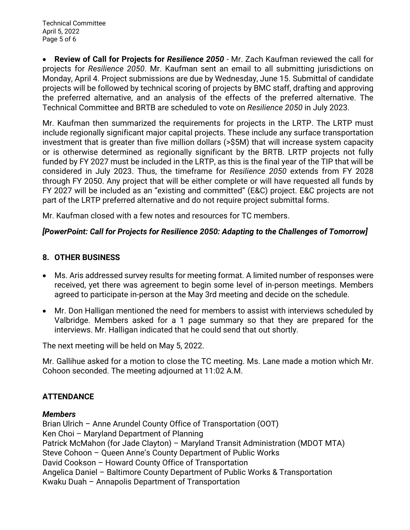**Review of Call for Projects for** *Resilience 2050 -* Mr. Zach Kaufman reviewed the call for projects for *Resilience 2050*. Mr. Kaufman sent an email to all submitting jurisdictions on Monday, April 4. Project submissions are due by Wednesday, June 15. Submittal of candidate projects will be followed by technical scoring of projects by BMC staff, drafting and approving the preferred alternative, and an analysis of the effects of the preferred alternative. The Technical Committee and BRTB are scheduled to vote on *Resilience 2050* in July 2023.

Mr. Kaufman then summarized the requirements for projects in the LRTP. The LRTP must include regionally significant major capital projects. These include any surface transportation investment that is greater than five million dollars (>\$5M) that will increase system capacity or is otherwise determined as regionally significant by the BRTB. LRTP projects not fully funded by FY 2027 must be included in the LRTP, as this is the final year of the TIP that will be considered in July 2023. Thus, the timeframe for *Resilience 2050* extends from FY 2028 through FY 2050. Any project that will be either complete or will have requested all funds by FY 2027 will be included as an "existing and committed" (E&C) project. E&C projects are not part of the LRTP preferred alternative and do not require project submittal forms.

Mr. Kaufman closed with a few notes and resources for TC members.

## *[PowerPoint: Call for Projects for Resilience 2050: Adapting to the Challenges of Tomorrow]*

#### **8. OTHER BUSINESS**

- Ms. Aris addressed survey results for meeting format. A limited number of responses were received, yet there was agreement to begin some level of in-person meetings. Members agreed to participate in-person at the May 3rd meeting and decide on the schedule.
- Mr. Don Halligan mentioned the need for members to assist with interviews scheduled by Valbridge. Members asked for a 1 page summary so that they are prepared for the interviews. Mr. Halligan indicated that he could send that out shortly.

The next meeting will be held on May 5, 2022.

Mr. Gallihue asked for a motion to close the TC meeting. Ms. Lane made a motion which Mr. Cohoon seconded. The meeting adjourned at 11:02 A.M.

## **ATTENDANCE**

#### *Members*

Brian Ulrich – Anne Arundel County Office of Transportation (OOT) Ken Choi – Maryland Department of Planning Patrick McMahon (for Jade Clayton) – Maryland Transit Administration (MDOT MTA) Steve Cohoon – Queen Anne's County Department of Public Works David Cookson – Howard County Office of Transportation Angelica Daniel – Baltimore County Department of Public Works & Transportation Kwaku Duah – Annapolis Department of Transportation